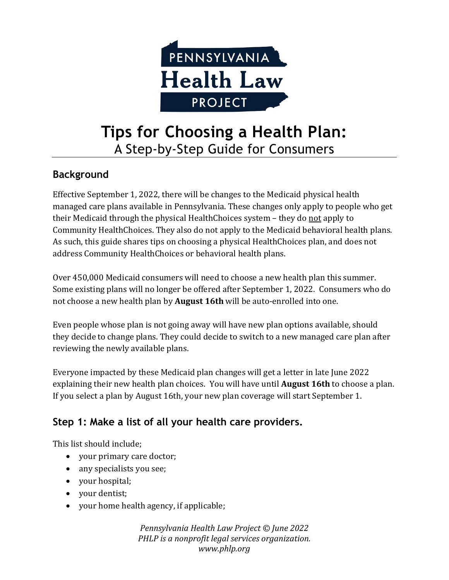

# **Tips for Choosing a Health Plan:** A Step-by-Step Guide for Consumers

#### **Background**

Effective September 1, 2022, there will be changes to the Medicaid physical health managed care plans available in Pennsylvania. These changes only apply to people who get their Medicaid through the physical HealthChoices system - they do not apply to Community HealthChoices. They also do not apply to the Medicaid behavioral health plans. As such, this guide shares tips on choosing a physical HealthChoices plan, and does not address Community HealthChoices or behavioral health plans.

Over 450,000 Medicaid consumers will need to choose a new health plan this summer. Some existing plans will no longer be offered after September 1, 2022. Consumers who do not choose a new health plan by **August 16th** will be auto-enrolled into one.

Even people whose plan is not going away will have new plan options available, should they decide to change plans. They could decide to switch to a new managed care plan after reviewing the newly available plans.

Everyone impacted by these Medicaid plan changes will get a letter in late June 2022 explaining their new health plan choices. You will have until **August 16th** to choose a plan. If you select a plan by August 16th, your new plan coverage will start September 1.

## **Step 1: Make a list of all your health care providers.**

This list should include;

- your primary care doctor;
- any specialists you see;
- your hospital;
- your dentist;
- your home health agency, if applicable;

*Pennsylvania Health Law Project © June 2022 PHLP is a nonprofit legal services organization. www.phlp.org*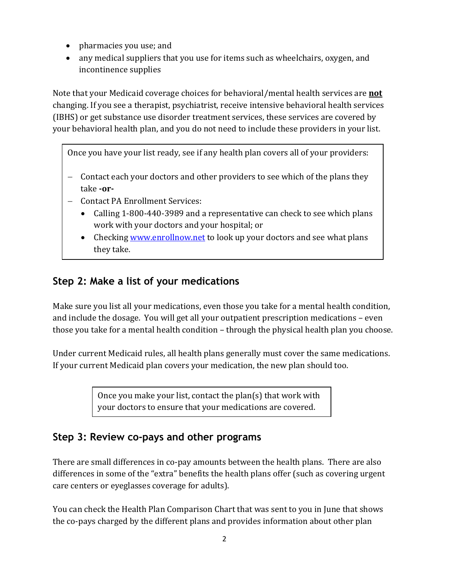- pharmacies you use; and
- any medical suppliers that you use for items such as wheelchairs, oxygen, and incontinence supplies

Note that your Medicaid coverage choices for behavioral/mental health services are **not** changing. If you see a therapist, psychiatrist, receive intensive behavioral health services (IBHS) or get substance use disorder treatment services, these services are covered by your behavioral health plan, and you do not need to include these providers in your list.

Once you have your list ready, see if any health plan covers all of your providers:

- − Contact each your doctors and other providers to see which of the plans they take **-or-**
- − Contact PA Enrollment Services:
	- Calling 1-800-440-3989 and a representative can check to see which plans work with your doctors and your hospital; or
	- Checkin[g www.enrollnow.net](http://www.enrollnow.net/) to look up your doctors and see what plans they take.

## **Step 2: Make a list of your medications**

Make sure you list all your medications, even those you take for a mental health condition, and include the dosage. You will get all your outpatient prescription medications – even those you take for a mental health condition – through the physical health plan you choose.

Under current Medicaid rules, all health plans generally must cover the same medications. If your current Medicaid plan covers your medication, the new plan should too.

> Once you make your list, contact the plan(s) that work with your doctors to ensure that your medications are covered.

## **Step 3: Review co-pays and other programs**

There are small differences in co-pay amounts between the health plans. There are also differences in some of the "extra" benefits the health plans offer (such as covering urgent care centers or eyeglasses coverage for adults).

You can check the Health Plan Comparison Chart that was sent to you in June that shows the co-pays charged by the different plans and provides information about other plan